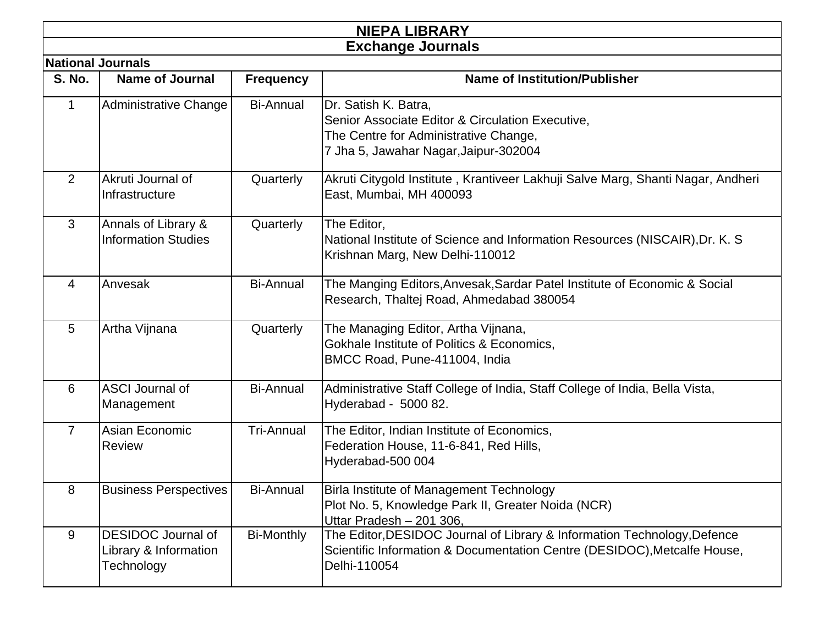|                |                                                                  |                   | <b>NIEPA LIBRARY</b>                                                                                                                                                 |
|----------------|------------------------------------------------------------------|-------------------|----------------------------------------------------------------------------------------------------------------------------------------------------------------------|
|                |                                                                  |                   | <b>Exchange Journals</b>                                                                                                                                             |
|                | <b>National Journals</b>                                         |                   |                                                                                                                                                                      |
| <b>S. No.</b>  | <b>Name of Journal</b>                                           | <b>Frequency</b>  | <b>Name of Institution/Publisher</b>                                                                                                                                 |
| 1              | Administrative Change                                            | <b>Bi-Annual</b>  | Dr. Satish K. Batra,<br>Senior Associate Editor & Circulation Executive,<br>The Centre for Administrative Change,<br>7 Jha 5, Jawahar Nagar, Jaipur-302004           |
| 2              | Akruti Journal of<br>Infrastructure                              | Quarterly         | Akruti Citygold Institute, Krantiveer Lakhuji Salve Marg, Shanti Nagar, Andheri<br>East, Mumbai, MH 400093                                                           |
| 3              | Annals of Library &<br><b>Information Studies</b>                | Quarterly         | The Editor,<br>National Institute of Science and Information Resources (NISCAIR), Dr. K. S.<br>Krishnan Marg, New Delhi-110012                                       |
| 4              | Anvesak                                                          | <b>Bi-Annual</b>  | The Manging Editors, Anvesak, Sardar Patel Institute of Economic & Social<br>Research, Thaltej Road, Ahmedabad 380054                                                |
| 5              | Artha Vijnana                                                    | Quarterly         | The Managing Editor, Artha Vijnana,<br>Gokhale Institute of Politics & Economics,<br>BMCC Road, Pune-411004, India                                                   |
| 6              | <b>ASCI</b> Journal of<br>Management                             | <b>Bi-Annual</b>  | Administrative Staff College of India, Staff College of India, Bella Vista,<br>Hyderabad - 5000 82.                                                                  |
| $\overline{7}$ | Asian Economic<br><b>Review</b>                                  | <b>Tri-Annual</b> | The Editor, Indian Institute of Economics,<br>Federation House, 11-6-841, Red Hills,<br>Hyderabad-500 004                                                            |
| 8              | <b>Business Perspectives</b>                                     | <b>Bi-Annual</b>  | Birla Institute of Management Technology<br>Plot No. 5, Knowledge Park II, Greater Noida (NCR)<br>Uttar Pradesh - 201 306,                                           |
| 9              | <b>DESIDOC</b> Journal of<br>Library & Information<br>Technology | <b>Bi-Monthly</b> | The Editor, DESIDOC Journal of Library & Information Technology, Defence<br>Scientific Information & Documentation Centre (DESIDOC), Metcalfe House,<br>Delhi-110054 |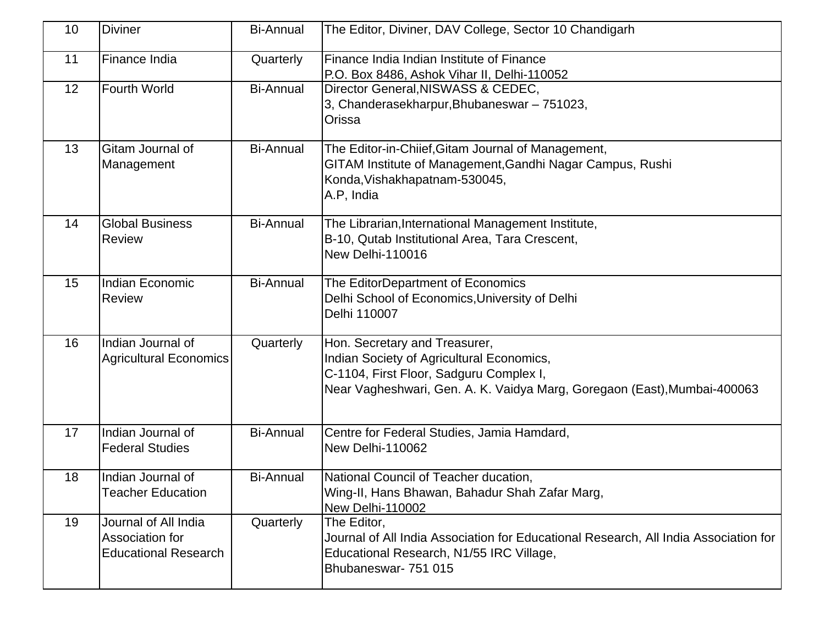| 10 | <b>Diviner</b>                                                         | <b>Bi-Annual</b> | The Editor, Diviner, DAV College, Sector 10 Chandigarh                                                                                                                                            |
|----|------------------------------------------------------------------------|------------------|---------------------------------------------------------------------------------------------------------------------------------------------------------------------------------------------------|
| 11 | Finance India                                                          | Quarterly        | Finance India Indian Institute of Finance<br>P.O. Box 8486, Ashok Vihar II, Delhi-110052                                                                                                          |
| 12 | Fourth World                                                           | <b>Bi-Annual</b> | Director General, NISWASS & CEDEC,<br>3, Chanderasekharpur, Bhubaneswar - 751023,<br>Orissa                                                                                                       |
| 13 | Gitam Journal of<br>Management                                         | <b>Bi-Annual</b> | The Editor-in-Chiief, Gitam Journal of Management,<br>GITAM Institute of Management, Gandhi Nagar Campus, Rushi<br>Konda, Vishakhapatnam-530045,<br>A.P, India                                    |
| 14 | <b>Global Business</b><br><b>Review</b>                                | <b>Bi-Annual</b> | The Librarian, International Management Institute,<br>B-10, Qutab Institutional Area, Tara Crescent,<br>New Delhi-110016                                                                          |
| 15 | Indian Economic<br><b>Review</b>                                       | <b>Bi-Annual</b> | The EditorDepartment of Economics<br>Delhi School of Economics, University of Delhi<br>Delhi 110007                                                                                               |
| 16 | Indian Journal of<br><b>Agricultural Economics</b>                     | Quarterly        | Hon. Secretary and Treasurer,<br>Indian Society of Agricultural Economics,<br>C-1104, First Floor, Sadguru Complex I,<br>Near Vagheshwari, Gen. A. K. Vaidya Marg, Goregaon (East), Mumbai-400063 |
| 17 | Indian Journal of<br><b>Federal Studies</b>                            | <b>Bi-Annual</b> | Centre for Federal Studies, Jamia Hamdard,<br><b>New Delhi-110062</b>                                                                                                                             |
| 18 | Indian Journal of<br><b>Teacher Education</b>                          | <b>Bi-Annual</b> | National Council of Teacher ducation,<br>Wing-II, Hans Bhawan, Bahadur Shah Zafar Marg,<br>New Delhi-110002                                                                                       |
| 19 | Journal of All India<br>Association for<br><b>Educational Research</b> | Quarterly        | The Editor,<br>Journal of All India Association for Educational Research, All India Association for<br>Educational Research, N1/55 IRC Village,<br>Bhubaneswar- 751 015                           |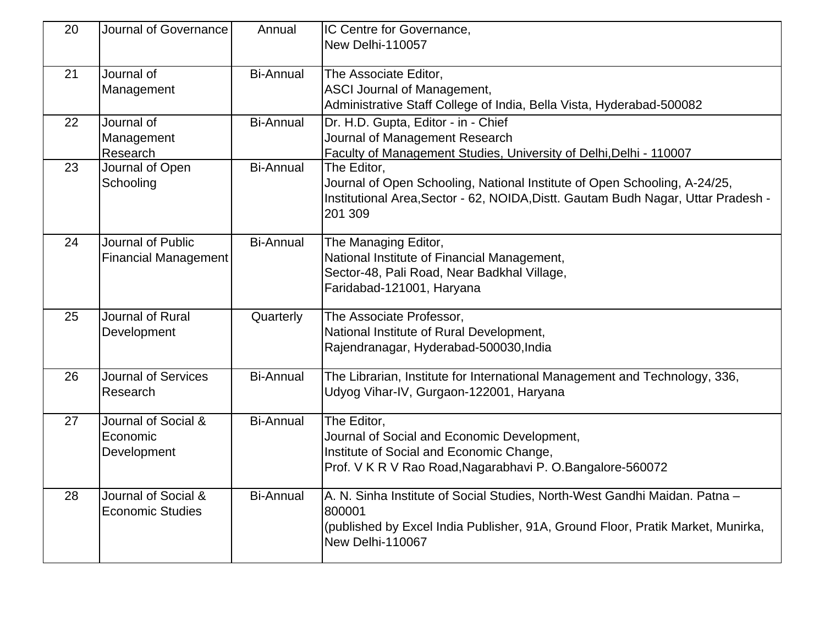| 20 | Journal of Governance                            | Annual           | IC Centre for Governance,                                                                                                                                                                   |
|----|--------------------------------------------------|------------------|---------------------------------------------------------------------------------------------------------------------------------------------------------------------------------------------|
|    |                                                  |                  | New Delhi-110057                                                                                                                                                                            |
| 21 | Journal of                                       | <b>Bi-Annual</b> | The Associate Editor,                                                                                                                                                                       |
|    | Management                                       |                  | ASCI Journal of Management,<br>Administrative Staff College of India, Bella Vista, Hyderabad-500082                                                                                         |
| 22 | Journal of                                       | <b>Bi-Annual</b> | Dr. H.D. Gupta, Editor - in - Chief                                                                                                                                                         |
|    | Management<br>Research                           |                  | Journal of Management Research<br>Faculty of Management Studies, University of Delhi, Delhi - 110007                                                                                        |
| 23 | Journal of Open<br>Schooling                     | <b>Bi-Annual</b> | The Editor,<br>Journal of Open Schooling, National Institute of Open Schooling, A-24/25,<br>Institutional Area, Sector - 62, NOIDA, Distt. Gautam Budh Nagar, Uttar Pradesh -<br>201 309    |
| 24 | Journal of Public<br><b>Financial Management</b> | <b>Bi-Annual</b> | The Managing Editor,<br>National Institute of Financial Management,<br>Sector-48, Pali Road, Near Badkhal Village,<br>Faridabad-121001, Haryana                                             |
| 25 | Journal of Rural<br>Development                  | Quarterly        | The Associate Professor,<br>National Institute of Rural Development,<br>Rajendranagar, Hyderabad-500030, India                                                                              |
| 26 | <b>Journal of Services</b><br>Research           | <b>Bi-Annual</b> | The Librarian, Institute for International Management and Technology, 336,<br>Udyog Vihar-IV, Gurgaon-122001, Haryana                                                                       |
| 27 | Journal of Social &<br>Economic<br>Development   | <b>Bi-Annual</b> | The Editor,<br>Journal of Social and Economic Development,<br>Institute of Social and Economic Change,<br>Prof. V K R V Rao Road, Nagarabhavi P. O. Bangalore-560072                        |
| 28 | Journal of Social &<br><b>Economic Studies</b>   | <b>Bi-Annual</b> | A. N. Sinha Institute of Social Studies, North-West Gandhi Maidan. Patna -<br>800001<br>(published by Excel India Publisher, 91A, Ground Floor, Pratik Market, Munirka,<br>New Delhi-110067 |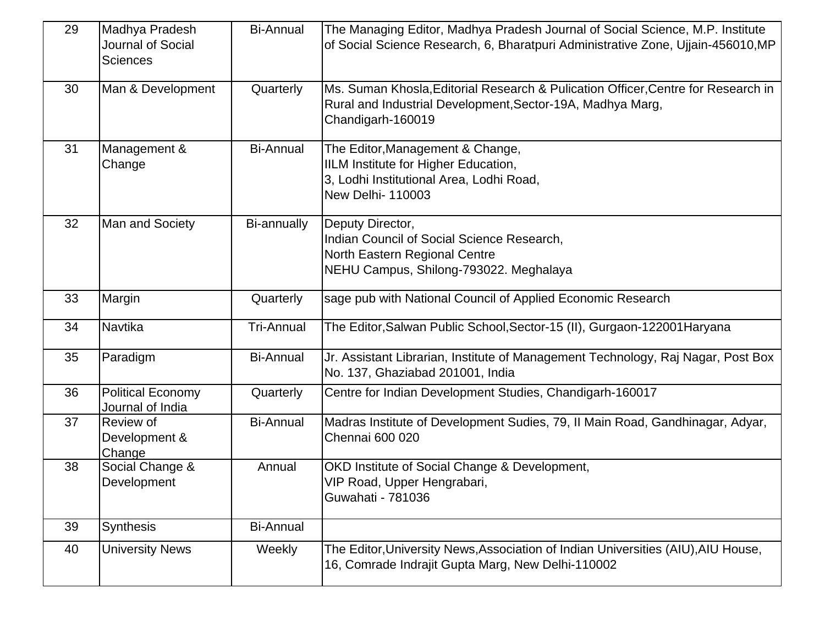| 29 | Madhya Pradesh<br>Journal of Social<br><b>Sciences</b> | <b>Bi-Annual</b>  | The Managing Editor, Madhya Pradesh Journal of Social Science, M.P. Institute<br>of Social Science Research, 6, Bharatpuri Administrative Zone, Ujjain-456010, MP    |
|----|--------------------------------------------------------|-------------------|----------------------------------------------------------------------------------------------------------------------------------------------------------------------|
| 30 | Man & Development                                      | Quarterly         | Ms. Suman Khosla, Editorial Research & Pulication Officer, Centre for Research in<br>Rural and Industrial Development, Sector-19A, Madhya Marg,<br>Chandigarh-160019 |
| 31 | Management &<br>Change                                 | <b>Bi-Annual</b>  | The Editor, Management & Change,<br>IILM Institute for Higher Education,<br>3, Lodhi Institutional Area, Lodhi Road,<br><b>New Delhi- 110003</b>                     |
| 32 | Man and Society                                        | Bi-annually       | Deputy Director,<br>Indian Council of Social Science Research,<br>North Eastern Regional Centre<br>NEHU Campus, Shilong-793022. Meghalaya                            |
| 33 | Margin                                                 | Quarterly         | sage pub with National Council of Applied Economic Research                                                                                                          |
| 34 | Navtika                                                | <b>Tri-Annual</b> | The Editor, Salwan Public School, Sector-15 (II), Gurgaon-122001 Haryana                                                                                             |
| 35 | Paradigm                                               | <b>Bi-Annual</b>  | Jr. Assistant Librarian, Institute of Management Technology, Raj Nagar, Post Box<br>No. 137, Ghaziabad 201001, India                                                 |
| 36 | <b>Political Economy</b><br>Journal of India           | Quarterly         | Centre for Indian Development Studies, Chandigarh-160017                                                                                                             |
| 37 | <b>Review of</b><br>Development &<br>Change            | <b>Bi-Annual</b>  | Madras Institute of Development Sudies, 79, II Main Road, Gandhinagar, Adyar,<br>Chennai 600 020                                                                     |
| 38 | Social Change &<br>Development                         | Annual            | OKD Institute of Social Change & Development,<br>VIP Road, Upper Hengrabari,<br>Guwahati - 781036                                                                    |
| 39 | <b>Synthesis</b>                                       | <b>Bi-Annual</b>  |                                                                                                                                                                      |
| 40 | <b>University News</b>                                 | Weekly            | The Editor, University News, Association of Indian Universities (AIU), AIU House,<br>16, Comrade Indrajit Gupta Marg, New Delhi-110002                               |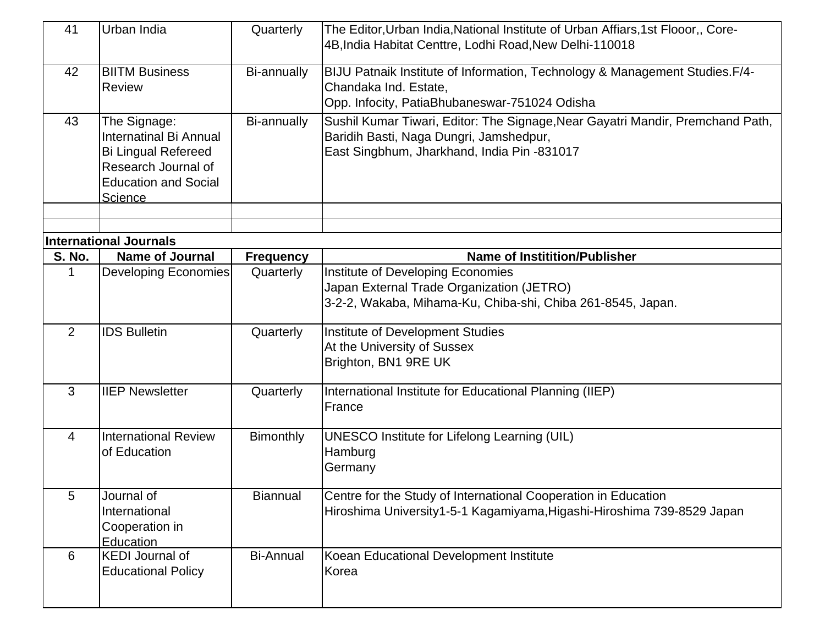| 41            | Urban India                                                                                                                                  | Quarterly        | The Editor, Urban India, National Institute of Urban Affiars, 1st Flooor,, Core-<br>4B, India Habitat Centtre, Lodhi Road, New Delhi-110018                              |
|---------------|----------------------------------------------------------------------------------------------------------------------------------------------|------------------|--------------------------------------------------------------------------------------------------------------------------------------------------------------------------|
| 42            | <b>BIITM Business</b><br><b>Review</b>                                                                                                       | Bi-annually      | BIJU Patnaik Institute of Information, Technology & Management Studies. F/4-<br>Chandaka Ind. Estate,<br>Opp. Infocity, PatiaBhubaneswar-751024 Odisha                   |
| 43            | The Signage:<br>Internatinal Bi Annual<br><b>Bi Lingual Refereed</b><br>Research Journal of<br><b>Education and Social</b><br><b>Science</b> | Bi-annually      | Sushil Kumar Tiwari, Editor: The Signage, Near Gayatri Mandir, Premchand Path,<br>Baridih Basti, Naga Dungri, Jamshedpur,<br>East Singbhum, Jharkhand, India Pin -831017 |
|               |                                                                                                                                              |                  |                                                                                                                                                                          |
|               | <b>International Journals</b>                                                                                                                |                  |                                                                                                                                                                          |
| <b>S. No.</b> | <b>Name of Journal</b>                                                                                                                       | <b>Frequency</b> | <b>Name of Institition/Publisher</b>                                                                                                                                     |
|               | Developing Economies                                                                                                                         | Quarterly        | Institute of Developing Economies<br>Japan External Trade Organization (JETRO)<br>3-2-2, Wakaba, Mihama-Ku, Chiba-shi, Chiba 261-8545, Japan.                            |
| 2             | <b>IDS Bulletin</b>                                                                                                                          | Quarterly        | Institute of Development Studies<br>At the University of Sussex<br>Brighton, BN1 9RE UK                                                                                  |
| 3             | <b>IIEP Newsletter</b>                                                                                                                       | Quarterly        | International Institute for Educational Planning (IIEP)<br>France                                                                                                        |
| 4             | <b>International Review</b><br>of Education                                                                                                  | Bimonthly        | <b>UNESCO Institute for Lifelong Learning (UIL)</b><br>Hamburg<br>Germany                                                                                                |
| 5             | Journal of<br>International<br>Cooperation in<br>Education                                                                                   | <b>Biannual</b>  | Centre for the Study of International Cooperation in Education<br>Hiroshima University1-5-1 Kagamiyama, Higashi-Hiroshima 739-8529 Japan                                 |
| 6             | <b>KEDI Journal of</b><br><b>Educational Policy</b>                                                                                          | <b>Bi-Annual</b> | Koean Educational Development Institute<br>Korea                                                                                                                         |